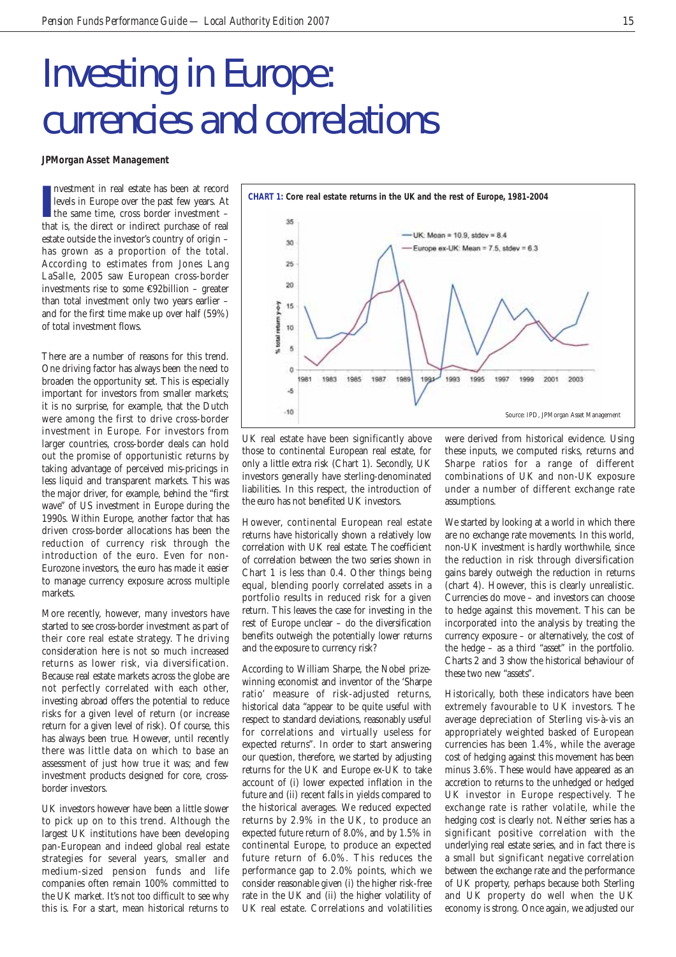## Investing in Europe: currencies and correlations

**JPMorgan Asset Management**

Investment in real estate has been at record<br>
levels in Europe over the past few years. At<br>
the same time, cross border investment –<br>
that is, the direct or indirect purchase of real nvestment in real estate has been at record levels in Europe over the past few years. At the same time, cross border investment – estate outside the investor's country of origin – has grown as a proportion of the total. According to estimates from Jones Lang LaSalle, 2005 saw European cross-border investments rise to some €92billion – greater than total investment only two years earlier – and for the first time make up over half (59%) of total investment flows.

There are a number of reasons for this trend. One driving factor has always been the need to broaden the opportunity set. This is especially important for investors from smaller markets; it is no surprise, for example, that the Dutch were among the first to drive cross-border investment in Europe. For investors from larger countries, cross-border deals can hold out the promise of opportunistic returns by taking advantage of perceived mis-pricings in less liquid and transparent markets. This was the major driver, for example, behind the "first wave" of US investment in Europe during the 1990s. Within Europe, another factor that has driven cross-border allocations has been the reduction of currency risk through the introduction of the euro. Even for non-Eurozone investors, the euro has made it easier to manage currency exposure across multiple markets.

More recently, however, many investors have started to see cross-border investment as part of their core real estate strategy. The driving consideration here is not so much increased returns as lower risk, via diversification. Because real estate markets across the globe are not perfectly correlated with each other, investing abroad offers the potential to reduce risks for a given level of return (or increase return for a given level of risk). Of course, this has always been true. However, until recently there was little data on which to base an assessment of just how true it was; and few investment products designed for core, crossborder investors.

UK investors however have been a little slower to pick up on to this trend. Although the largest UK institutions have been developing pan-European and indeed global real estate strategies for several years, smaller and medium-sized pension funds and life companies often remain 100% committed to the UK market. It's not too difficult to see why this is. For a start, mean historical returns to



UK real estate have been significantly above those to continental European real estate, for only a little extra risk (Chart 1). Secondly, UK investors generally have sterling-denominated liabilities. In this respect, the introduction of the euro has not benefited UK investors.

However, continental European real estate returns have historically shown a relatively low correlation with UK real estate. The coefficient of correlation between the two series shown in Chart 1 is less than 0.4. Other things being equal, blending poorly correlated assets in a portfolio results in reduced risk for a given return. This leaves the case for investing in the rest of Europe unclear – do the diversification benefits outweigh the potentially lower returns and the exposure to currency risk?

According to William Sharpe, the Nobel prizewinning economist and inventor of the 'Sharpe ratio' measure of risk-adjusted returns, historical data "appear to be quite useful with respect to standard deviations, reasonably useful for correlations and virtually useless for expected returns". In order to start answering our question, therefore, we started by adjusting returns for the UK and Europe ex-UK to take account of (i) lower expected inflation in the future and (ii) recent falls in yields compared to the historical averages. We reduced expected returns by 2.9% in the UK, to produce an expected future return of 8.0%, and by 1.5% in continental Europe, to produce an expected future return of 6.0%. This reduces the performance gap to 2.0% points, which we consider reasonable given (i) the higher risk-free rate in the UK and (ii) the higher volatility of UK real estate. Correlations and volatilities were derived from historical evidence. Using these inputs, we computed risks, returns and Sharpe ratios for a range of different combinations of UK and non-UK exposure under a number of different exchange rate assumptions.

We started by looking at a world in which there are no exchange rate movements. In this world, non-UK investment is hardly worthwhile, since the reduction in risk through diversification gains barely outweigh the reduction in returns (chart 4). However, this is clearly unrealistic. Currencies do move – and investors can choose to hedge against this movement. This can be incorporated into the analysis by treating the currency exposure – or alternatively, the cost of the hedge – as a third "asset" in the portfolio. Charts 2 and 3 show the historical behaviour of these two new "assets".

Historically, both these indicators have been extremely favourable to UK investors. The average depreciation of Sterling vis-à-vis an appropriately weighted basked of European currencies has been 1.4%, while the average cost of hedging against this movement has been minus 3.6%. These would have appeared as an accretion to returns to the unhedged or hedged UK investor in Europe respectively. The exchange rate is rather volatile, while the hedging cost is clearly not. Neither series has a significant positive correlation with the underlying real estate series, and in fact there is a small but significant negative correlation between the exchange rate and the performance of UK property, perhaps because both Sterling and UK property do well when the UK economy is strong. Once again, we adjusted our